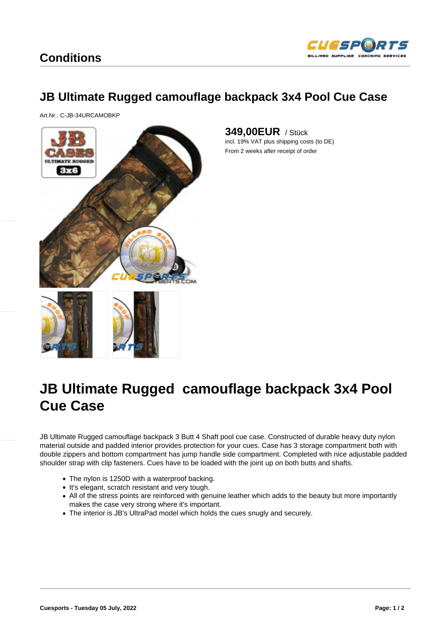## JB Ultimate Rugged camouflage backpack 3x4 Pool Cue Case

Art.Nr.: C-JB-34URCAMOBKP

349,00EUR / Stück incl. 19% VAT plus shipping costs (to DE) From 2 weeks after receipt of order



## JB Ultimate Rugged camouflage backpack 3x4 Pool Cue Case

JB Ultimate Rugged camouflage backpack 3 Butt 4 Shaft pool cue case. Constructed of durable heavy duty nylon material outside and padded interior provides protection for your cues. Case has 3 storage compartment both with double zippers and bottom compartment has jump handle side compartment. Completed with nice adjustable padded shoulder strap with clip fasteners. Cues have to be loaded with the joint up on both butts and shafts.

- The nylon is 1250D with a waterproof backing.
- It's elegant, scratch resistant and very tough.
- All of the stress points are reinforced with genuine leather which adds to the beauty but more importantly makes the case very strong where it's important.
- The interior is JB's UltraPad model which holds the cues snugly and securely.